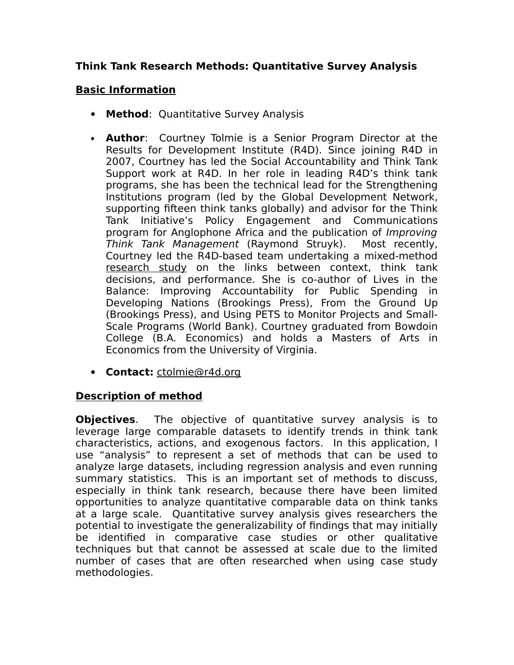# **Think Tank Research Methods: Quantitative Survey Analysis**

# **Basic Information**

- **Method**: Quantitative Survey Analysis
- **Author**: Courtney Tolmie is a Senior Program Director at the Results for Development Institute (R4D). Since joining R4D in 2007, Courtney has led the Social Accountability and Think Tank Support work at R4D. In her role in leading R4D's think tank programs, she has been the technical lead for the Strengthening Institutions program (led by the Global Development Network, supporting fifteen think tanks globally) and advisor for the Think Tank Initiative's Policy Engagement and Communications program for Anglophone Africa and the publication of Improving Think Tank Management (Raymond Struyk). Most recently, Courtney led the R4D-based team undertaking a mixed-method [research study](http://r4d.org/sites/resultsfordevelopment.org/files/Linking%20Think%20Tank%20Performance%20and%20Context.pdf) on the links between context, think tank decisions, and performance. She is co-author of Lives in the Balance: Improving Accountability for Public Spending in Developing Nations (Brookings Press), From the Ground Up (Brookings Press), and Using PETS to Monitor Projects and Small-Scale Programs (World Bank). Courtney graduated from Bowdoin College (B.A. Economics) and holds a Masters of Arts in Economics from the University of Virginia.
- **Contact:** [ctolmie@r4d.org](mailto:ctolmie@r4d.org)

#### **Description of method**

**Objectives**. The objective of quantitative survey analysis is to leverage large comparable datasets to identify trends in think tank characteristics, actions, and exogenous factors. In this application, I use "analysis" to represent a set of methods that can be used to analyze large datasets, including regression analysis and even running summary statistics. This is an important set of methods to discuss, especially in think tank research, because there have been limited opportunities to analyze quantitative comparable data on think tanks at a large scale. Quantitative survey analysis gives researchers the potential to investigate the generalizability of findings that may initially be identified in comparative case studies or other qualitative techniques but that cannot be assessed at scale due to the limited number of cases that are often researched when using case study methodologies.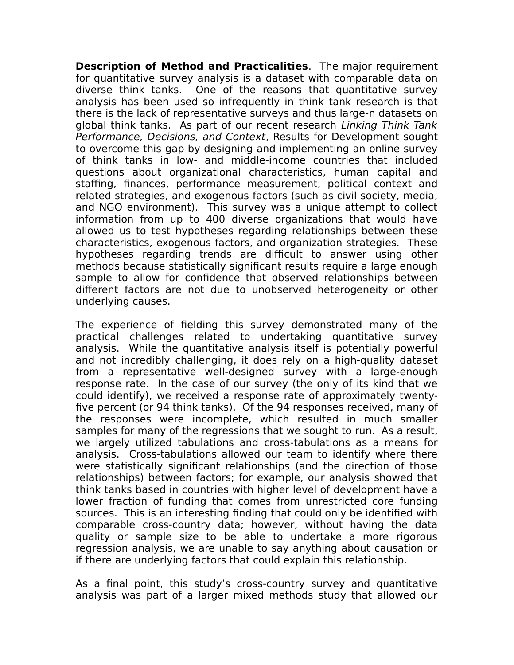**Description of Method and Practicalities**. The major requirement for quantitative survey analysis is a dataset with comparable data on diverse think tanks. One of the reasons that quantitative survey analysis has been used so infrequently in think tank research is that there is the lack of representative surveys and thus large-n datasets on global think tanks. As part of our recent research Linking Think Tank Performance, Decisions, and Context, Results for Development sought to overcome this gap by designing and implementing an online survey of think tanks in low- and middle-income countries that included questions about organizational characteristics, human capital and staffing, finances, performance measurement, political context and related strategies, and exogenous factors (such as civil society, media, and NGO environment). This survey was a unique attempt to collect information from up to 400 diverse organizations that would have allowed us to test hypotheses regarding relationships between these characteristics, exogenous factors, and organization strategies. These hypotheses regarding trends are difficult to answer using other methods because statistically significant results require a large enough sample to allow for confidence that observed relationships between different factors are not due to unobserved heterogeneity or other underlying causes.

The experience of fielding this survey demonstrated many of the practical challenges related to undertaking quantitative survey analysis. While the quantitative analysis itself is potentially powerful and not incredibly challenging, it does rely on a high-quality dataset from a representative well-designed survey with a large-enough response rate. In the case of our survey (the only of its kind that we could identify), we received a response rate of approximately twentyfive percent (or 94 think tanks). Of the 94 responses received, many of the responses were incomplete, which resulted in much smaller samples for many of the regressions that we sought to run. As a result, we largely utilized tabulations and cross-tabulations as a means for analysis. Cross-tabulations allowed our team to identify where there were statistically significant relationships (and the direction of those relationships) between factors; for example, our analysis showed that think tanks based in countries with higher level of development have a lower fraction of funding that comes from unrestricted core funding sources. This is an interesting finding that could only be identified with comparable cross-country data; however, without having the data quality or sample size to be able to undertake a more rigorous regression analysis, we are unable to say anything about causation or if there are underlying factors that could explain this relationship.

As a final point, this study's cross-country survey and quantitative analysis was part of a larger mixed methods study that allowed our